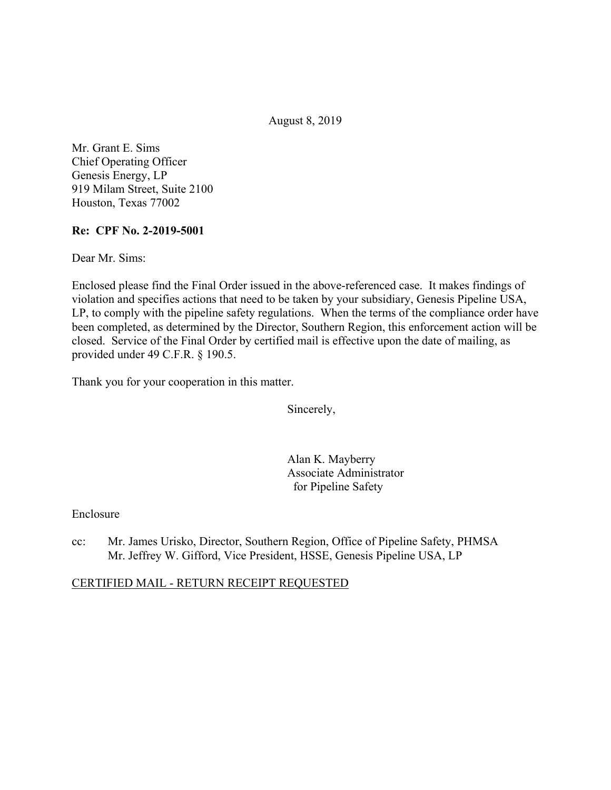August 8, 2019

Mr. Grant E. Sims Chief Operating Officer Genesis Energy, LP 919 Milam Street, Suite 2100 Houston, Texas 77002

#### **Re: CPF No. 2-2019-5001**

Dear Mr. Sims:

Enclosed please find the Final Order issued in the above-referenced case. It makes findings of violation and specifies actions that need to be taken by your subsidiary, Genesis Pipeline USA, LP, to comply with the pipeline safety regulations. When the terms of the compliance order have been completed, as determined by the Director, Southern Region, this enforcement action will be closed. Service of the Final Order by certified mail is effective upon the date of mailing, as provided under 49 C.F.R. § 190.5.

Thank you for your cooperation in this matter.

Sincerely,

Alan K. Mayberry Associate Administrator for Pipeline Safety

Enclosure

cc: Mr. James Urisko, Director, Southern Region, Office of Pipeline Safety, PHMSA Mr. Jeffrey W. Gifford, Vice President, HSSE, Genesis Pipeline USA, LP

# CERTIFIED MAIL - RETURN RECEIPT REQUESTED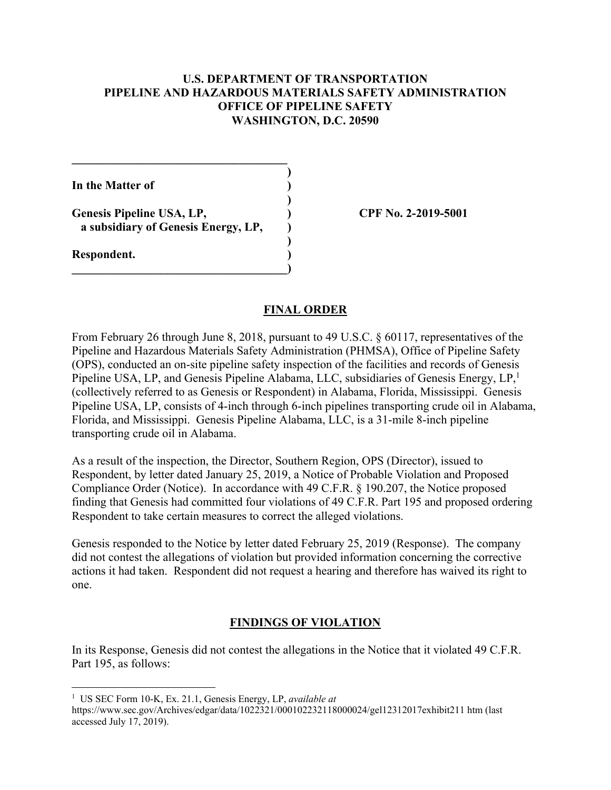#### **U.S. DEPARTMENT OF TRANSPORTATION PIPELINE AND HAZARDOUS MATERIALS SAFETY ADMINISTRATION OFFICE OF PIPELINE SAFETY WASHINGTON, D.C. 20590**

**)**

 **)**

 **)**

**In the Matter of )**

Genesis Pipeline USA, LP,  $\qquad \qquad$  (PF No. 2-2019-5001) **a subsidiary of Genesis Energy, LP, )**

 $\overline{\phantom{a}}$ 

**\_\_\_\_\_\_\_\_\_\_\_\_\_\_\_\_\_\_\_\_\_\_\_\_\_\_\_\_\_\_\_\_\_\_\_\_** 

**Respondent. )** 

 $\overline{a}$ 

#### **FINAL ORDER**

From February 26 through June 8, 2018, pursuant to 49 U.S.C. § 60117, representatives of the Pipeline and Hazardous Materials Safety Administration (PHMSA), Office of Pipeline Safety (OPS), conducted an on-site pipeline safety inspection of the facilities and records of Genesis Pipeline USA, LP, and Genesis Pipeline Alabama, LLC, subsidiaries of Genesis Energy, LP,<sup>1</sup> (collectively referred to as Genesis or Respondent) in Alabama, Florida, Mississippi. Genesis Pipeline USA, LP, consists of 4-inch through 6-inch pipelines transporting crude oil in Alabama, Florida, and Mississippi. Genesis Pipeline Alabama, LLC, is a 31-mile 8-inch pipeline transporting crude oil in Alabama.

As a result of the inspection, the Director, Southern Region, OPS (Director), issued to Respondent, by letter dated January 25, 2019, a Notice of Probable Violation and Proposed Compliance Order (Notice). In accordance with 49 C.F.R. § 190.207, the Notice proposed finding that Genesis had committed four violations of 49 C.F.R. Part 195 and proposed ordering Respondent to take certain measures to correct the alleged violations.

Genesis responded to the Notice by letter dated February 25, 2019 (Response). The company did not contest the allegations of violation but provided information concerning the corrective actions it had taken. Respondent did not request a hearing and therefore has waived its right to one.

# **FINDINGS OF VIOLATION**

In its Response, Genesis did not contest the allegations in the Notice that it violated 49 C.F.R. Part 195, as follows:

<sup>1</sup> US SEC Form 10-K, Ex. 21.1, Genesis Energy, LP, *available at* 

<https://www.sec.gov/Archives/edgar/data/1022321/000102232118000024/gel12312017exhibit211> htm (last accessed July 17, 2019).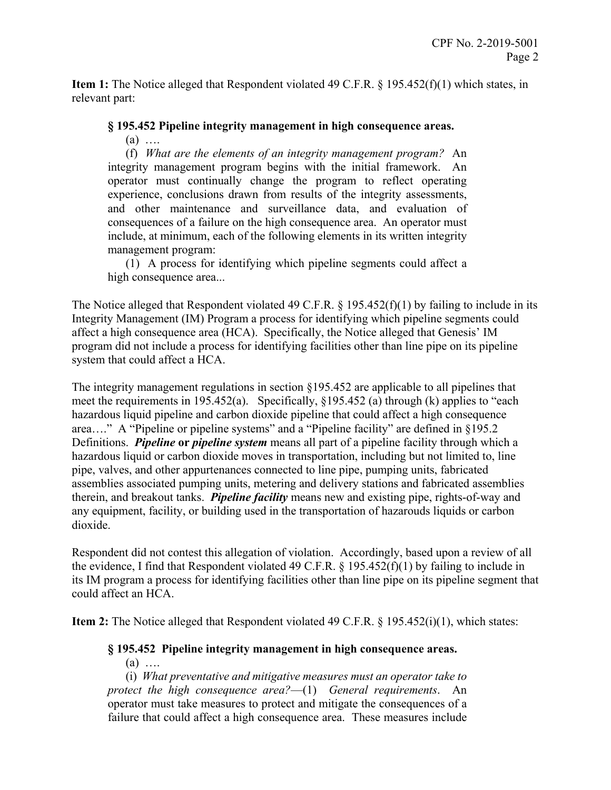**Item 1:** The Notice alleged that Respondent violated 49 C.F.R. § 195.452(f)(1) which states, in relevant part:

# **§ 195.452 Pipeline integrity management in high consequence areas.**

(a) ….

 integrity management program begins with the initial framework. An (f) *What are the elements of an integrity management program?* An operator must continually change the program to reflect operating experience, conclusions drawn from results of the integrity assessments, and other maintenance and surveillance data, and evaluation of consequences of a failure on the high consequence area. An operator must include, at minimum, each of the following elements in its written integrity management program:

 (1) A process for identifying which pipeline segments could affect a high consequence area...

The Notice alleged that Respondent violated 49 C.F.R. § 195.452(f)(1) by failing to include in its Integrity Management (IM) Program a process for identifying which pipeline segments could affect a high consequence area (HCA). Specifically, the Notice alleged that Genesis' IM program did not include a process for identifying facilities other than line pipe on its pipeline system that could affect a HCA.

The integrity management regulations in section §195.452 are applicable to all pipelines that meet the requirements in 195.452(a). Specifically, §195.452 (a) through (k) applies to "each hazardous liquid pipeline and carbon dioxide pipeline that could affect a high consequence area…." A "Pipeline or pipeline systems" and a "Pipeline facility" are defined in §195.2 Definitions. *Pipeline* **or** *pipeline system* means all part of a pipeline facility through which a hazardous liquid or carbon dioxide moves in transportation, including but not limited to, line pipe, valves, and other appurtenances connected to line pipe, pumping units, fabricated assemblies associated pumping units, metering and delivery stations and fabricated assemblies therein, and breakout tanks. *Pipeline facility* means new and existing pipe, rights-of-way and any equipment, facility, or building used in the transportation of hazarouds liquids or carbon dioxide.

Respondent did not contest this allegation of violation. Accordingly, based upon a review of all the evidence, I find that Respondent violated 49 C.F.R. § 195.452(f)(1) by failing to include in its IM program a process for identifying facilities other than line pipe on its pipeline segment that could affect an HCA.

**Item 2:** The Notice alleged that Respondent violated 49 C.F.R. § 195.452(i)(1), which states:

# **§ 195.452 Pipeline integrity management in high consequence areas.**

 $(a)$  ....

(i) *What preventative and mitigative measures must an operator take to protect the high consequence area?*—(1) *General requirements*. An operator must take measures to protect and mitigate the consequences of a failure that could affect a high consequence area. These measures include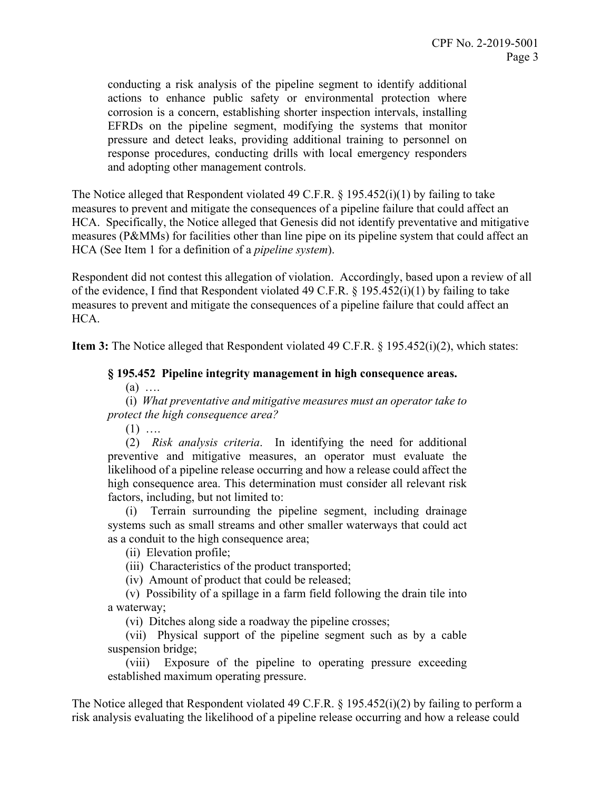conducting a risk analysis of the pipeline segment to identify additional actions to enhance public safety or environmental protection where corrosion is a concern, establishing shorter inspection intervals, installing EFRDs on the pipeline segment, modifying the systems that monitor pressure and detect leaks, providing additional training to personnel on response procedures, conducting drills with local emergency responders and adopting other management controls.

The Notice alleged that Respondent violated 49 C.F.R. § 195.452(i)(1) by failing to take measures to prevent and mitigate the consequences of a pipeline failure that could affect an HCA. Specifically, the Notice alleged that Genesis did not identify preventative and mitigative measures (P&MMs) for facilities other than line pipe on its pipeline system that could affect an HCA (See Item 1 for a definition of a *pipeline system*).

Respondent did not contest this allegation of violation. Accordingly, based upon a review of all of the evidence, I find that Respondent violated 49 C.F.R. § 195.452(i)(1) by failing to take measures to prevent and mitigate the consequences of a pipeline failure that could affect an HCA.

**Item 3:** The Notice alleged that Respondent violated 49 C.F.R. § 195.452(i)(2), which states:

#### **§ 195.452 Pipeline integrity management in high consequence areas.**

 $(a)$  ....

(i) *What preventative and mitigative measures must an operator take to protect the high consequence area?* 

 $(1)$  …

 likelihood of a pipeline release occurring and how a release could affect the (2) *Risk analysis criteria*. In identifying the need for additional preventive and mitigative measures, an operator must evaluate the high consequence area. This determination must consider all relevant risk factors, including, but not limited to:

(i) Terrain surrounding the pipeline segment, including drainage systems such as small streams and other smaller waterways that could act as a conduit to the high consequence area;

(ii) Elevation profile;

(iii) Characteristics of the product transported;

(iv) Amount of product that could be released;

(v) Possibility of a spillage in a farm field following the drain tile into a waterway;

(vi) Ditches along side a roadway the pipeline crosses;

(vii) Physical support of the pipeline segment such as by a cable suspension bridge;

(viii) Exposure of the pipeline to operating pressure exceeding established maximum operating pressure.

The Notice alleged that Respondent violated 49 C.F.R.  $\S$  195.452(i)(2) by failing to perform a risk analysis evaluating the likelihood of a pipeline release occurring and how a release could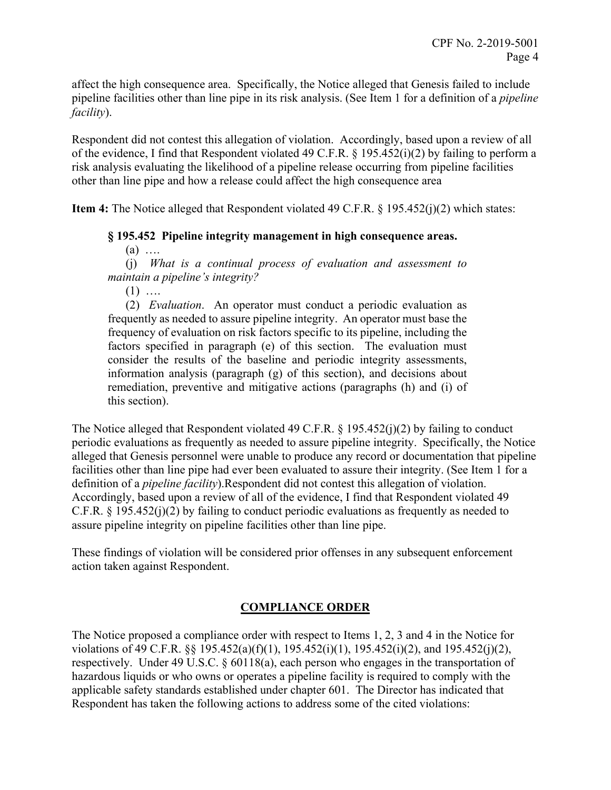affect the high consequence area. Specifically, the Notice alleged that Genesis failed to include pipeline facilities other than line pipe in its risk analysis. (See Item 1 for a definition of a *pipeline facility*).

Respondent did not contest this allegation of violation. Accordingly, based upon a review of all of the evidence, I find that Respondent violated 49 C.F.R. § 195.452(i)(2) by failing to perform a risk analysis evaluating the likelihood of a pipeline release occurring from pipeline facilities other than line pipe and how a release could affect the high consequence area

**Item 4:** The Notice alleged that Respondent violated 49 C.F.R. § 195.452(j)(2) which states:

#### **§ 195.452 Pipeline integrity management in high consequence areas.**

 $(a)$  …

(j) *What is a continual process of evaluation and assessment to maintain a pipeline's integrity?* 

 $(1)$  …

 consider the results of the baseline and periodic integrity assessments, remediation, preventive and mitigative actions (paragraphs (h) and (i) of (2) *Evaluation*. An operator must conduct a periodic evaluation as frequently as needed to assure pipeline integrity. An operator must base the frequency of evaluation on risk factors specific to its pipeline, including the factors specified in paragraph (e) of this section. The evaluation must information analysis (paragraph (g) of this section), and decisions about this section).

The Notice alleged that Respondent violated 49 C.F.R. § 195.452(j)(2) by failing to conduct periodic evaluations as frequently as needed to assure pipeline integrity. Specifically, the Notice alleged that Genesis personnel were unable to produce any record or documentation that pipeline facilities other than line pipe had ever been evaluated to assure their integrity. (See Item 1 for a definition of a *pipeline facility*).Respondent did not contest this allegation of violation. Accordingly, based upon a review of all of the evidence, I find that Respondent violated 49 C.F.R. § 195.452(j)(2) by failing to conduct periodic evaluations as frequently as needed to assure pipeline integrity on pipeline facilities other than line pipe.

These findings of violation will be considered prior offenses in any subsequent enforcement action taken against Respondent.

# **COMPLIANCE ORDER**

The Notice proposed a compliance order with respect to Items 1, 2, 3 and 4 in the Notice for violations of 49 C.F.R. §§ 195.452(a)(f)(1), 195.452(i)(1), 195.452(i)(2), and 195.452(j)(2), respectively. Under 49 U.S.C. § 60118(a), each person who engages in the transportation of hazardous liquids or who owns or operates a pipeline facility is required to comply with the applicable safety standards established under chapter 601. The Director has indicated that Respondent has taken the following actions to address some of the cited violations: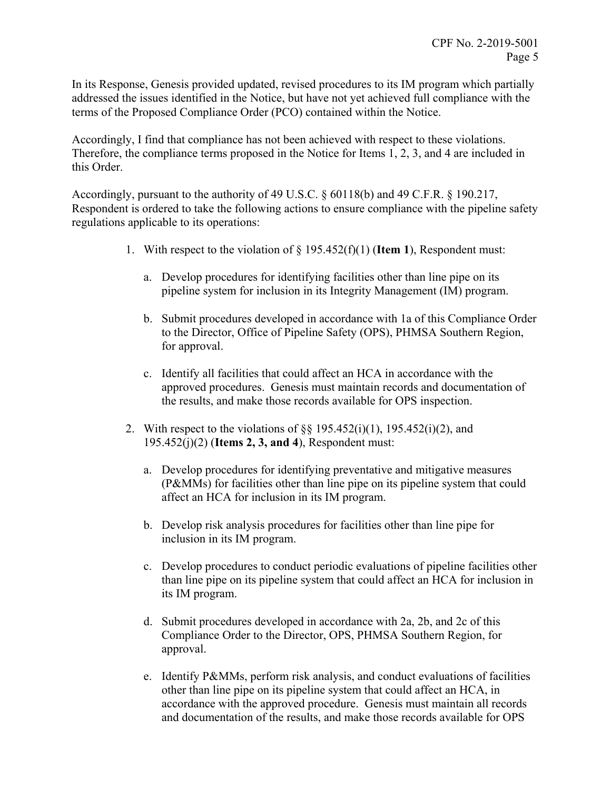In its Response, Genesis provided updated, revised procedures to its IM program which partially addressed the issues identified in the Notice, but have not yet achieved full compliance with the terms of the Proposed Compliance Order (PCO) contained within the Notice.

Accordingly, I find that compliance has not been achieved with respect to these violations. Therefore, the compliance terms proposed in the Notice for Items 1, 2, 3, and 4 are included in this Order.

Accordingly, pursuant to the authority of 49 U.S.C. § 60118(b) and 49 C.F.R. § 190.217, Respondent is ordered to take the following actions to ensure compliance with the pipeline safety regulations applicable to its operations:

- 1. With respect to the violation of § 195.452(f)(1) (**Item 1**), Respondent must:
	- a. Develop procedures for identifying facilities other than line pipe on its pipeline system for inclusion in its Integrity Management (IM) program.
	- b. Submit procedures developed in accordance with 1a of this Compliance Order to the Director, Office of Pipeline Safety (OPS), PHMSA Southern Region, for approval.
	- c. Identify all facilities that could affect an HCA in accordance with the approved procedures. Genesis must maintain records and documentation of the results, and make those records available for OPS inspection.
- 2. With respect to the violations of  $\S$ § 195.452(i)(1), 195.452(i)(2), and 195.452(j)(2) (**Items 2, 3, and 4**), Respondent must:
	- a. Develop procedures for identifying preventative and mitigative measures (P&MMs) for facilities other than line pipe on its pipeline system that could affect an HCA for inclusion in its IM program.
	- b. Develop risk analysis procedures for facilities other than line pipe for inclusion in its IM program.
	- c. Develop procedures to conduct periodic evaluations of pipeline facilities other than line pipe on its pipeline system that could affect an HCA for inclusion in its IM program.
	- d. Submit procedures developed in accordance with 2a, 2b, and 2c of this Compliance Order to the Director, OPS, PHMSA Southern Region, for approval.
	- and documentation of the results, and make those records available for OPS e. Identify P&MMs, perform risk analysis, and conduct evaluations of facilities other than line pipe on its pipeline system that could affect an HCA, in accordance with the approved procedure. Genesis must maintain all records